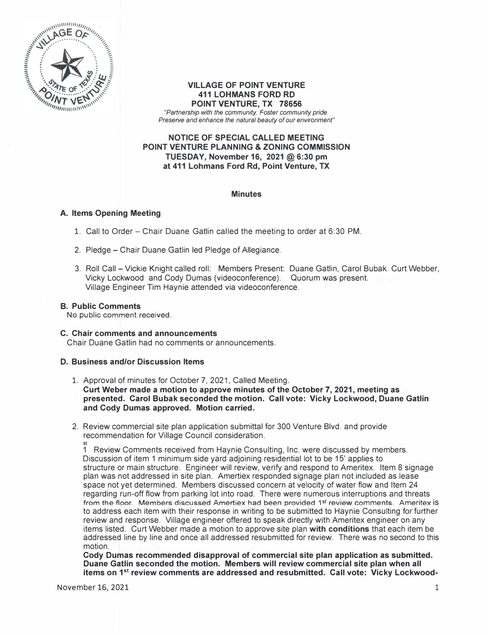

#### **VILLAGE OF POINT VENTURE 411 LOHMAN\$ FORD RD POINT VENTURE, TX 78656**  *"Partnership with the community. Foster community pride. Preserve and enhance the natural beauty of our environment"*

## **NOTICE OF SPECIAL CALLED MEETING POINT VENTURE PLANNING & ZONING COMMISSION TUESDAY, November 16, 2021 @6:30 pm at 411 Lohmans Ford Rd, Point Venture, TX**

### **Minutes**

### **A. Items Opening Meeting**

- 1. Call to Order Chair Duane Gatlin called the meeting to order at 6:30 PM.
- 2. Pledge Chair Duane Gatlin led Pledge of Allegiance.
- 3. Roll Call Vickie Knight called roll: Members Present: Duane Gatlin, Carol Bubak. Curt Webber, Vicky Lockwood and Cody Dumas (videoconference). Quorum was present. Village Engineer Tim Haynie attended via videoconference.

### **B. Public Comments**

No public comment received.

### **C. Chair comments and announcements**

Chair Duane Gatlin had no comments or announcements.

# **D. Business and/or Discussion Items**

- 1. Approval of minutes for October 7, 2021, Called Meeting. **Curt Weber made a motion to approve minutes of the October 7, 2021, meeting as presented. Carol Bubak seconded the motion. Call vote: Vicky Lockwood, Duane Gatlin and Cody Dumas approved. Motion carried.**
- 2. Review commercial site plan application submittal for 300 Venture Blvd. and provide recommendation for Village Council consideration.

1 Review Comments received from Haynie Consulting, Inc. were discussed by members. Discussion of item 1 minimum side yard adjoining residential lot to be 15' applies to structure or main structure. Engineer will review, verify and respond to Ameritex. Item 8 signage plan was not addressed in site plan. Amertiex responded signage plan not included as lease space not yet determined. Members discussed concern at velocity of water flow and Item 24 regarding run-off flow from parking lot into road. There were numerous interruptions and threats from the floor. Members discussed Amertiex had been provided 1<sup>st</sup> review comments. Ameritex is to address each item with their response in writing to be submitted to Haynie Consulting for further review and response. Village engineer offered to speak directly with Ameritex engineer on any items listed. Curt Webber made a motion to approve site plan **with conditions** that each item be addressed line by line and once all addressed resubmitted for review. There was no second to this motion.

**Cody Dumas recommended disapproval of commercial site plan application as submitted. Duane Gatlin seconded the motion. Members will review commercial site plan when all items on 1 st review comments are addressed and resubmitted. Call vote: Vicky Lockwood-**

st